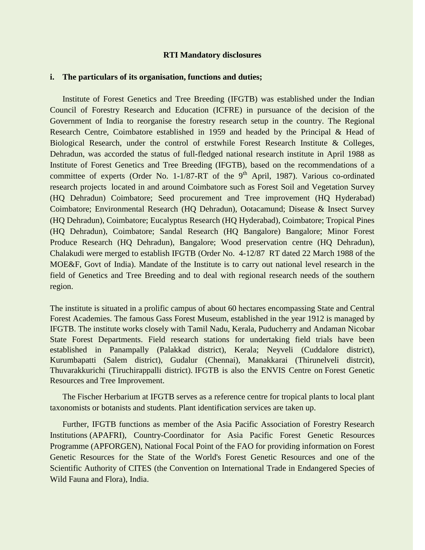## **RTI Mandatory disclosures**

## **i. The particulars of its organisation, functions and duties;**

Institute of Forest Genetics and Tree Breeding (IFGTB) was established under the Indian Council of Forestry Research and Education (ICFRE) in pursuance of the decision of the Government of India to reorganise the forestry research setup in the country. The Regional Research Centre, Coimbatore established in 1959 and headed by the Principal & Head of Biological Research, under the control of erstwhile Forest Research Institute & Colleges, Dehradun, was accorded the status of full-fledged national research institute in April 1988 as Institute of Forest Genetics and Tree Breeding (IFGTB), based on the recommendations of a committee of experts (Order No.  $1-1/87-RT$  of the 9<sup>th</sup> April, 1987). Various co-ordinated research projects located in and around Coimbatore such as Forest Soil and Vegetation Survey (HQ Dehradun) Coimbatore; Seed procurement and Tree improvement (HQ Hyderabad) Coimbatore; Environmental Research (HQ Dehradun), Ootacamund; Disease & Insect Survey (HQ Dehradun), Coimbatore; Eucalyptus Research (HQ Hyderabad), Coimbatore; Tropical Pines (HQ Dehradun), Coimbatore; Sandal Research (HQ Bangalore) Bangalore; Minor Forest Produce Research (HQ Dehradun), Bangalore; Wood preservation centre (HQ Dehradun), Chalakudi were merged to establish IFGTB (Order No. 4-12/87 RT dated 22 March 1988 of the MOE&F, Govt of India). Mandate of the Institute is to carry out national level research in the field of Genetics and Tree Breeding and to deal with regional research needs of the southern region.

The institute is situated in a prolific campus of about 60 hectares encompassing State and Central Forest Academies. The famous Gass Forest Museum, established in the year 1912 is managed by IFGTB. The institute works closely with Tamil Nadu, Kerala, Puducherry and Andaman Nicobar State Forest Departments. Field research stations for undertaking field trials have been established in Panampally (Palakkad district), Kerala; Neyveli (Cuddalore district), Kurumbapatti (Salem district), Gudalur (Chennai), Manakkarai (Thirunelveli distrcit), Thuvarakkurichi (Tiruchirappalli district). IFGTB is also the ENVIS Centre on Forest Genetic Resources and Tree Improvement.

The Fischer Herbarium at IFGTB serves as a reference centre for tropical plants to local plant taxonomists or botanists and students. Plant identification services are taken up.

Further, IFGTB functions as member of the Asia Pacific Association of Forestry Research Institutions (APAFRI), Country-Coordinator for Asia Pacific Forest Genetic Resources Programme (APFORGEN), National Focal Point of the FAO for providing information on Forest Genetic Resources for the State of the World's Forest Genetic Resources and one of the Scientific Authority of CITES (the Convention on International Trade in Endangered Species of Wild Fauna and Flora), India.